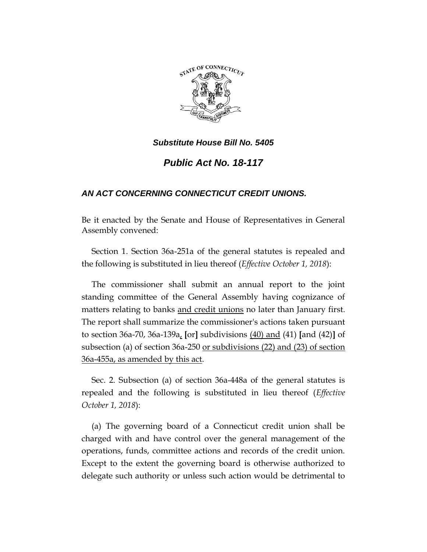

# *Public Act No. 18-117*

## *AN ACT CONCERNING CONNECTICUT CREDIT UNIONS.*

Be it enacted by the Senate and House of Representatives in General Assembly convened:

Section 1. Section 36a-251a of the general statutes is repealed and the following is substituted in lieu thereof (*Effective October 1, 2018*):

The commissioner shall submit an annual report to the joint standing committee of the General Assembly having cognizance of matters relating to banks and credit unions no later than January first. The report shall summarize the commissioner's actions taken pursuant to section 36a-70, 36a-139a, **[**or**]** subdivisions (40) and (41) **[**and (42)**]** of subsection (a) of section 36a-250 or subdivisions (22) and (23) of section 36a-455a, as amended by this act.

Sec. 2. Subsection (a) of section 36a-448a of the general statutes is repealed and the following is substituted in lieu thereof (*Effective October 1, 2018*):

(a) The governing board of a Connecticut credit union shall be charged with and have control over the general management of the operations, funds, committee actions and records of the credit union. Except to the extent the governing board is otherwise authorized to delegate such authority or unless such action would be detrimental to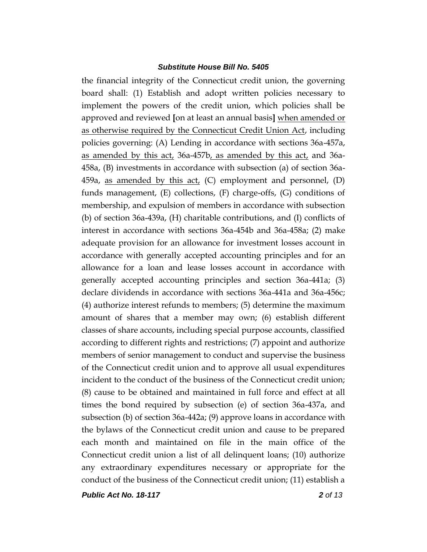the financial integrity of the Connecticut credit union, the governing board shall: (1) Establish and adopt written policies necessary to implement the powers of the credit union, which policies shall be approved and reviewed **[**on at least an annual basis**]** when amended or as otherwise required by the Connecticut Credit Union Act, including policies governing: (A) Lending in accordance with sections 36a-457a, as amended by this act, 36a-457b, as amended by this act, and 36a-458a, (B) investments in accordance with subsection (a) of section 36a-459a, as amended by this act, (C) employment and personnel, (D) funds management, (E) collections, (F) charge-offs, (G) conditions of membership, and expulsion of members in accordance with subsection (b) of section 36a-439a, (H) charitable contributions, and (I) conflicts of interest in accordance with sections 36a-454b and 36a-458a; (2) make adequate provision for an allowance for investment losses account in accordance with generally accepted accounting principles and for an allowance for a loan and lease losses account in accordance with generally accepted accounting principles and section 36a-441a; (3) declare dividends in accordance with sections 36a-441a and 36a-456c; (4) authorize interest refunds to members; (5) determine the maximum amount of shares that a member may own; (6) establish different classes of share accounts, including special purpose accounts, classified according to different rights and restrictions; (7) appoint and authorize members of senior management to conduct and supervise the business of the Connecticut credit union and to approve all usual expenditures incident to the conduct of the business of the Connecticut credit union; (8) cause to be obtained and maintained in full force and effect at all times the bond required by subsection (e) of section 36a-437a, and subsection (b) of section 36a-442a; (9) approve loans in accordance with the bylaws of the Connecticut credit union and cause to be prepared each month and maintained on file in the main office of the Connecticut credit union a list of all delinquent loans; (10) authorize any extraordinary expenditures necessary or appropriate for the conduct of the business of the Connecticut credit union; (11) establish a

*Public Act No. 18-117 2 of 13*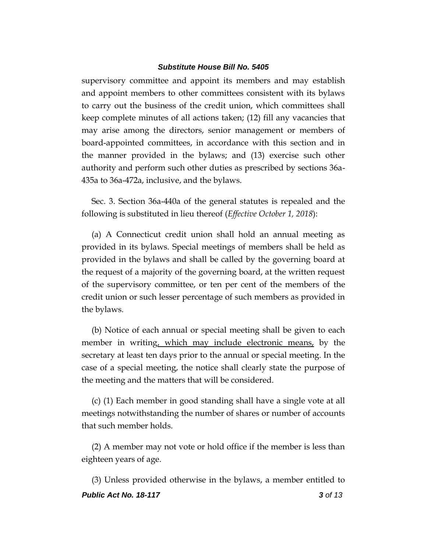supervisory committee and appoint its members and may establish and appoint members to other committees consistent with its bylaws to carry out the business of the credit union, which committees shall keep complete minutes of all actions taken; (12) fill any vacancies that may arise among the directors, senior management or members of board-appointed committees, in accordance with this section and in the manner provided in the bylaws; and (13) exercise such other authority and perform such other duties as prescribed by sections 36a-435a to 36a-472a, inclusive, and the bylaws.

Sec. 3. Section 36a-440a of the general statutes is repealed and the following is substituted in lieu thereof (*Effective October 1, 2018*):

(a) A Connecticut credit union shall hold an annual meeting as provided in its bylaws. Special meetings of members shall be held as provided in the bylaws and shall be called by the governing board at the request of a majority of the governing board, at the written request of the supervisory committee, or ten per cent of the members of the credit union or such lesser percentage of such members as provided in the bylaws.

(b) Notice of each annual or special meeting shall be given to each member in writing, which may include electronic means, by the secretary at least ten days prior to the annual or special meeting. In the case of a special meeting, the notice shall clearly state the purpose of the meeting and the matters that will be considered.

(c) (1) Each member in good standing shall have a single vote at all meetings notwithstanding the number of shares or number of accounts that such member holds.

(2) A member may not vote or hold office if the member is less than eighteen years of age.

*Public Act No. 18-117 3 of 13* (3) Unless provided otherwise in the bylaws, a member entitled to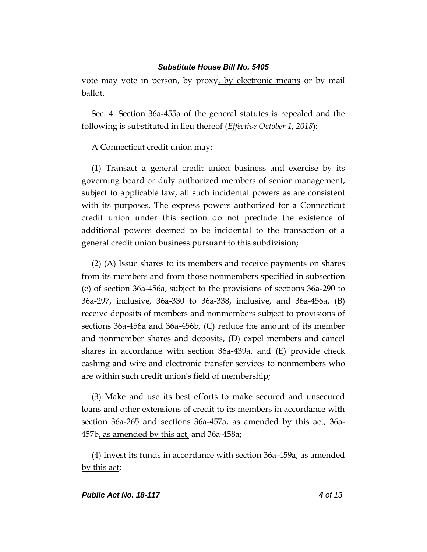vote may vote in person, by proxy, by electronic means or by mail ballot.

Sec. 4. Section 36a-455a of the general statutes is repealed and the following is substituted in lieu thereof (*Effective October 1, 2018*):

A Connecticut credit union may:

(1) Transact a general credit union business and exercise by its governing board or duly authorized members of senior management, subject to applicable law, all such incidental powers as are consistent with its purposes. The express powers authorized for a Connecticut credit union under this section do not preclude the existence of additional powers deemed to be incidental to the transaction of a general credit union business pursuant to this subdivision;

(2) (A) Issue shares to its members and receive payments on shares from its members and from those nonmembers specified in subsection (e) of section 36a-456a, subject to the provisions of sections 36a-290 to 36a-297, inclusive, 36a-330 to 36a-338, inclusive, and 36a-456a, (B) receive deposits of members and nonmembers subject to provisions of sections 36a-456a and 36a-456b, (C) reduce the amount of its member and nonmember shares and deposits, (D) expel members and cancel shares in accordance with section 36a-439a, and (E) provide check cashing and wire and electronic transfer services to nonmembers who are within such credit union's field of membership;

(3) Make and use its best efforts to make secured and unsecured loans and other extensions of credit to its members in accordance with section 36a-265 and sections 36a-457a, as amended by this act, 36a-457b, as amended by this act, and 36a-458a;

(4) Invest its funds in accordance with section 36a-459a, as amended by this act;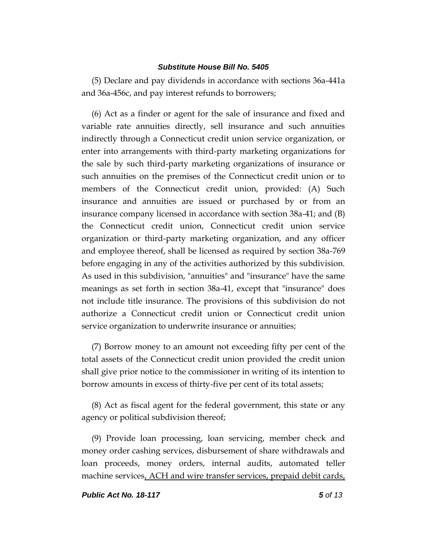(5) Declare and pay dividends in accordance with sections 36a-441a and 36a-456c, and pay interest refunds to borrowers;

(6) Act as a finder or agent for the sale of insurance and fixed and variable rate annuities directly, sell insurance and such annuities indirectly through a Connecticut credit union service organization, or enter into arrangements with third-party marketing organizations for the sale by such third-party marketing organizations of insurance or such annuities on the premises of the Connecticut credit union or to members of the Connecticut credit union, provided: (A) Such insurance and annuities are issued or purchased by or from an insurance company licensed in accordance with section 38a-41; and (B) the Connecticut credit union, Connecticut credit union service organization or third-party marketing organization, and any officer and employee thereof, shall be licensed as required by section 38a-769 before engaging in any of the activities authorized by this subdivision. As used in this subdivision, "annuities" and "insurance" have the same meanings as set forth in section 38a-41, except that "insurance" does not include title insurance. The provisions of this subdivision do not authorize a Connecticut credit union or Connecticut credit union service organization to underwrite insurance or annuities;

(7) Borrow money to an amount not exceeding fifty per cent of the total assets of the Connecticut credit union provided the credit union shall give prior notice to the commissioner in writing of its intention to borrow amounts in excess of thirty-five per cent of its total assets;

(8) Act as fiscal agent for the federal government, this state or any agency or political subdivision thereof;

(9) Provide loan processing, loan servicing, member check and money order cashing services, disbursement of share withdrawals and loan proceeds, money orders, internal audits, automated teller machine services, ACH and wire transfer services, prepaid debit cards,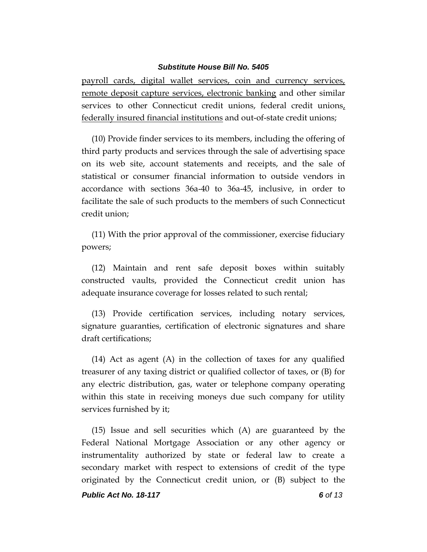payroll cards, digital wallet services, coin and currency services, remote deposit capture services, electronic banking and other similar services to other Connecticut credit unions, federal credit unions, federally insured financial institutions and out-of-state credit unions;

(10) Provide finder services to its members, including the offering of third party products and services through the sale of advertising space on its web site, account statements and receipts, and the sale of statistical or consumer financial information to outside vendors in accordance with sections 36a-40 to 36a-45, inclusive, in order to facilitate the sale of such products to the members of such Connecticut credit union;

(11) With the prior approval of the commissioner, exercise fiduciary powers;

(12) Maintain and rent safe deposit boxes within suitably constructed vaults, provided the Connecticut credit union has adequate insurance coverage for losses related to such rental;

(13) Provide certification services, including notary services, signature guaranties, certification of electronic signatures and share draft certifications;

(14) Act as agent (A) in the collection of taxes for any qualified treasurer of any taxing district or qualified collector of taxes, or (B) for any electric distribution, gas, water or telephone company operating within this state in receiving moneys due such company for utility services furnished by it;

(15) Issue and sell securities which (A) are guaranteed by the Federal National Mortgage Association or any other agency or instrumentality authorized by state or federal law to create a secondary market with respect to extensions of credit of the type originated by the Connecticut credit union, or (B) subject to the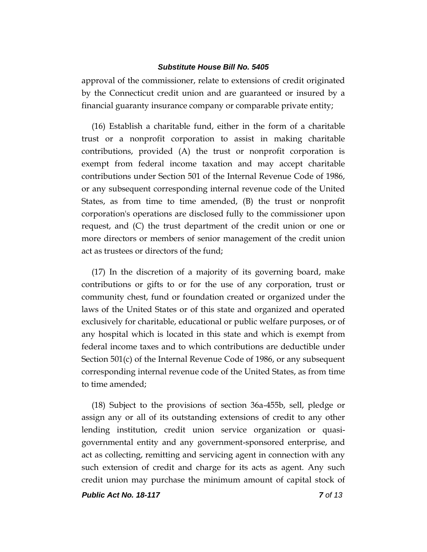approval of the commissioner, relate to extensions of credit originated by the Connecticut credit union and are guaranteed or insured by a financial guaranty insurance company or comparable private entity;

(16) Establish a charitable fund, either in the form of a charitable trust or a nonprofit corporation to assist in making charitable contributions, provided (A) the trust or nonprofit corporation is exempt from federal income taxation and may accept charitable contributions under Section 501 of the Internal Revenue Code of 1986, or any subsequent corresponding internal revenue code of the United States, as from time to time amended, (B) the trust or nonprofit corporation's operations are disclosed fully to the commissioner upon request, and (C) the trust department of the credit union or one or more directors or members of senior management of the credit union act as trustees or directors of the fund;

(17) In the discretion of a majority of its governing board, make contributions or gifts to or for the use of any corporation, trust or community chest, fund or foundation created or organized under the laws of the United States or of this state and organized and operated exclusively for charitable, educational or public welfare purposes, or of any hospital which is located in this state and which is exempt from federal income taxes and to which contributions are deductible under Section 501(c) of the Internal Revenue Code of 1986, or any subsequent corresponding internal revenue code of the United States, as from time to time amended;

(18) Subject to the provisions of section 36a-455b, sell, pledge or assign any or all of its outstanding extensions of credit to any other lending institution, credit union service organization or quasigovernmental entity and any government-sponsored enterprise, and act as collecting, remitting and servicing agent in connection with any such extension of credit and charge for its acts as agent. Any such credit union may purchase the minimum amount of capital stock of

*Public Act No. 18-117 7 of 13*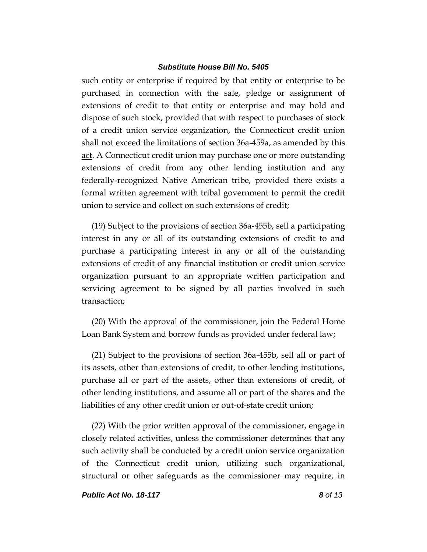such entity or enterprise if required by that entity or enterprise to be purchased in connection with the sale, pledge or assignment of extensions of credit to that entity or enterprise and may hold and dispose of such stock, provided that with respect to purchases of stock of a credit union service organization, the Connecticut credit union shall not exceed the limitations of section 36a-459a, as amended by this act. A Connecticut credit union may purchase one or more outstanding extensions of credit from any other lending institution and any federally-recognized Native American tribe, provided there exists a formal written agreement with tribal government to permit the credit union to service and collect on such extensions of credit;

(19) Subject to the provisions of section 36a-455b, sell a participating interest in any or all of its outstanding extensions of credit to and purchase a participating interest in any or all of the outstanding extensions of credit of any financial institution or credit union service organization pursuant to an appropriate written participation and servicing agreement to be signed by all parties involved in such transaction;

(20) With the approval of the commissioner, join the Federal Home Loan Bank System and borrow funds as provided under federal law;

(21) Subject to the provisions of section 36a-455b, sell all or part of its assets, other than extensions of credit, to other lending institutions, purchase all or part of the assets, other than extensions of credit, of other lending institutions, and assume all or part of the shares and the liabilities of any other credit union or out-of-state credit union;

(22) With the prior written approval of the commissioner, engage in closely related activities, unless the commissioner determines that any such activity shall be conducted by a credit union service organization of the Connecticut credit union, utilizing such organizational, structural or other safeguards as the commissioner may require, in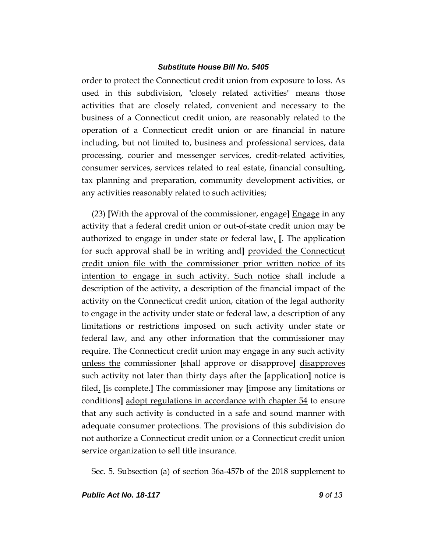order to protect the Connecticut credit union from exposure to loss. As used in this subdivision, "closely related activities" means those activities that are closely related, convenient and necessary to the business of a Connecticut credit union, are reasonably related to the operation of a Connecticut credit union or are financial in nature including, but not limited to, business and professional services, data processing, courier and messenger services, credit-related activities, consumer services, services related to real estate, financial consulting, tax planning and preparation, community development activities, or any activities reasonably related to such activities;

(23) **[**With the approval of the commissioner, engage**]** Engage in any activity that a federal credit union or out-of-state credit union may be authorized to engage in under state or federal law, **[**. The application for such approval shall be in writing and**]** provided the Connecticut credit union file with the commissioner prior written notice of its intention to engage in such activity. Such notice shall include a description of the activity, a description of the financial impact of the activity on the Connecticut credit union, citation of the legal authority to engage in the activity under state or federal law, a description of any limitations or restrictions imposed on such activity under state or federal law, and any other information that the commissioner may require. The Connecticut credit union may engage in any such activity unless the commissioner **[**shall approve or disapprove**]** disapproves such activity not later than thirty days after the **[**application**]** notice is filed. **[**is complete.**]** The commissioner may **[**impose any limitations or conditions**]** adopt regulations in accordance with chapter 54 to ensure that any such activity is conducted in a safe and sound manner with adequate consumer protections. The provisions of this subdivision do not authorize a Connecticut credit union or a Connecticut credit union service organization to sell title insurance.

Sec. 5. Subsection (a) of section 36a-457b of the 2018 supplement to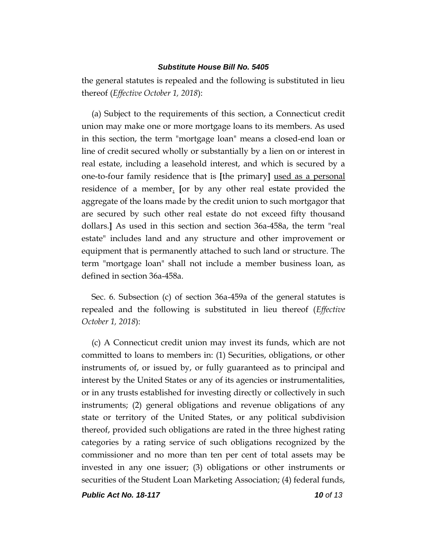the general statutes is repealed and the following is substituted in lieu thereof (*Effective October 1, 2018*):

(a) Subject to the requirements of this section, a Connecticut credit union may make one or more mortgage loans to its members. As used in this section, the term "mortgage loan" means a closed-end loan or line of credit secured wholly or substantially by a lien on or interest in real estate, including a leasehold interest, and which is secured by a one-to-four family residence that is **[**the primary**]** used as a personal residence of a member. **[**or by any other real estate provided the aggregate of the loans made by the credit union to such mortgagor that are secured by such other real estate do not exceed fifty thousand dollars.**]** As used in this section and section 36a-458a, the term "real estate" includes land and any structure and other improvement or equipment that is permanently attached to such land or structure. The term "mortgage loan" shall not include a member business loan, as defined in section 36a-458a.

Sec. 6. Subsection (c) of section 36a-459a of the general statutes is repealed and the following is substituted in lieu thereof (*Effective October 1, 2018*):

(c) A Connecticut credit union may invest its funds, which are not committed to loans to members in: (1) Securities, obligations, or other instruments of, or issued by, or fully guaranteed as to principal and interest by the United States or any of its agencies or instrumentalities, or in any trusts established for investing directly or collectively in such instruments; (2) general obligations and revenue obligations of any state or territory of the United States, or any political subdivision thereof, provided such obligations are rated in the three highest rating categories by a rating service of such obligations recognized by the commissioner and no more than ten per cent of total assets may be invested in any one issuer; (3) obligations or other instruments or securities of the Student Loan Marketing Association; (4) federal funds,

*Public Act No. 18-117 10 of 13*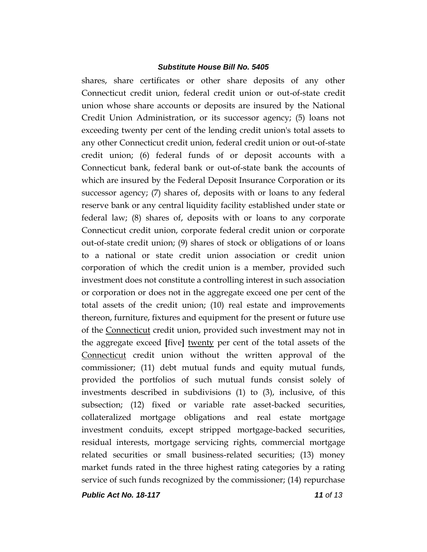shares, share certificates or other share deposits of any other Connecticut credit union, federal credit union or out-of-state credit union whose share accounts or deposits are insured by the National Credit Union Administration, or its successor agency; (5) loans not exceeding twenty per cent of the lending credit union's total assets to any other Connecticut credit union, federal credit union or out-of-state credit union; (6) federal funds of or deposit accounts with a Connecticut bank, federal bank or out-of-state bank the accounts of which are insured by the Federal Deposit Insurance Corporation or its successor agency; (7) shares of, deposits with or loans to any federal reserve bank or any central liquidity facility established under state or federal law; (8) shares of, deposits with or loans to any corporate Connecticut credit union, corporate federal credit union or corporate out-of-state credit union; (9) shares of stock or obligations of or loans to a national or state credit union association or credit union corporation of which the credit union is a member, provided such investment does not constitute a controlling interest in such association or corporation or does not in the aggregate exceed one per cent of the total assets of the credit union; (10) real estate and improvements thereon, furniture, fixtures and equipment for the present or future use of the Connecticut credit union, provided such investment may not in the aggregate exceed **[**five**]** twenty per cent of the total assets of the Connecticut credit union without the written approval of the commissioner; (11) debt mutual funds and equity mutual funds, provided the portfolios of such mutual funds consist solely of investments described in subdivisions (1) to (3), inclusive, of this subsection; (12) fixed or variable rate asset-backed securities, collateralized mortgage obligations and real estate mortgage investment conduits, except stripped mortgage-backed securities, residual interests, mortgage servicing rights, commercial mortgage related securities or small business-related securities; (13) money market funds rated in the three highest rating categories by a rating service of such funds recognized by the commissioner; (14) repurchase

*Public Act No. 18-117 11 of 13*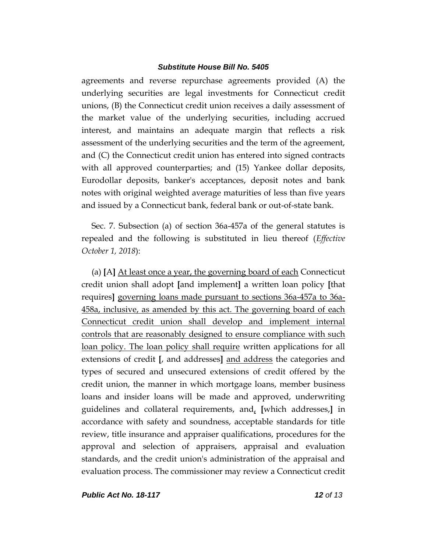agreements and reverse repurchase agreements provided (A) the underlying securities are legal investments for Connecticut credit unions, (B) the Connecticut credit union receives a daily assessment of the market value of the underlying securities, including accrued interest, and maintains an adequate margin that reflects a risk assessment of the underlying securities and the term of the agreement, and (C) the Connecticut credit union has entered into signed contracts with all approved counterparties; and  $(15)$  Yankee dollar deposits, Eurodollar deposits, banker's acceptances, deposit notes and bank notes with original weighted average maturities of less than five years and issued by a Connecticut bank, federal bank or out-of-state bank.

Sec. 7. Subsection (a) of section 36a-457a of the general statutes is repealed and the following is substituted in lieu thereof (*Effective October 1, 2018*):

(a) **[**A**]** At least once a year, the governing board of each Connecticut credit union shall adopt **[**and implement**]** a written loan policy **[**that requires**]** governing loans made pursuant to sections 36a-457a to 36a-458a, inclusive, as amended by this act. The governing board of each Connecticut credit union shall develop and implement internal controls that are reasonably designed to ensure compliance with such loan policy. The loan policy shall require written applications for all extensions of credit **[**, and addresses**]** and address the categories and types of secured and unsecured extensions of credit offered by the credit union, the manner in which mortgage loans, member business loans and insider loans will be made and approved, underwriting guidelines and collateral requirements, and, **[**which addresses,**]** in accordance with safety and soundness, acceptable standards for title review, title insurance and appraiser qualifications, procedures for the approval and selection of appraisers, appraisal and evaluation standards, and the credit union's administration of the appraisal and evaluation process. The commissioner may review a Connecticut credit

*Public Act No. 18-117 12 of 13*